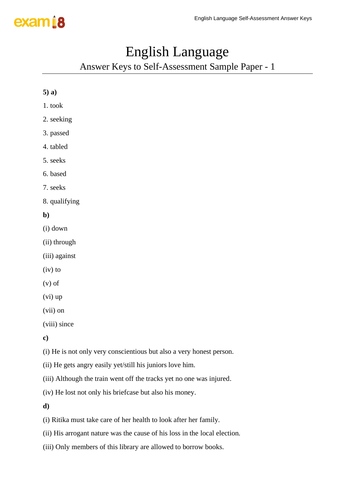### English Language

Answer Keys to Self-Assessment Sample Paper - 1

| $5)$ a)                                                              |
|----------------------------------------------------------------------|
| 1. took                                                              |
| 2. seeking                                                           |
| 3. passed                                                            |
| 4. tabled                                                            |
| 5. seeks                                                             |
| 6. based                                                             |
| 7. seeks                                                             |
| 8. qualifying                                                        |
| $\mathbf{b}$                                                         |
| (i) down                                                             |
| (ii) through                                                         |
| (iii) against                                                        |
| $(iv)$ to                                                            |
| $(v)$ of                                                             |
| $(vi)$ up                                                            |
| $(vii)$ on                                                           |
| (viii) since                                                         |
| $\mathbf{c})$                                                        |
| (i) He is not only very conscientious but also a very honest person. |
| (ii) He gets angry easily yet/still his juniors love him.            |
| (iii) Although the train went off the tracks yet no one was injured. |
| (iv) He lost not only his briefcase but also his money.              |
| d)                                                                   |

(i) Ritika must take care of her health to look after her family.

(ii) His arrogant nature was the cause of his loss in the local election.

(iii) Only members of this library are allowed to borrow books.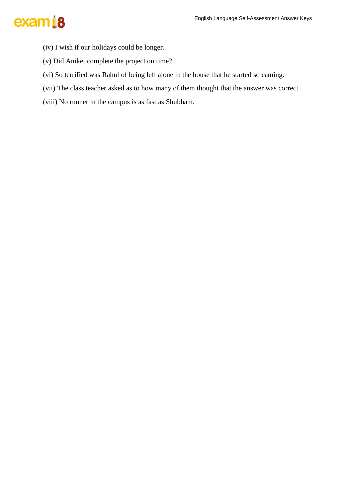- (iv) I wish if our holidays could be longer.
- (v) Did Aniket complete the project on time?
- (vi) So terrified was Rahul of being left alone in the house that he started screaming.
- (vii) The class teacher asked as to how many of them thought that the answer was correct.
- (viii) No runner in the campus is as fast as Shubham.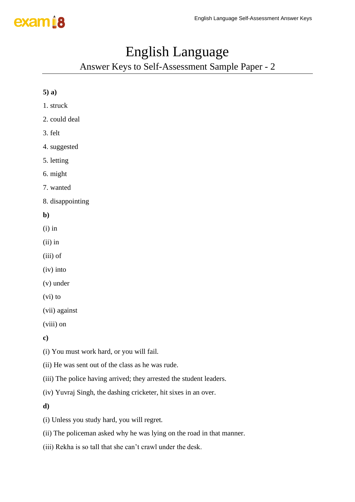#### English Language

Answer Keys to Self-Assessment Sample Paper - 2

| $5)$ a)                                                             |
|---------------------------------------------------------------------|
| 1. struck                                                           |
| 2. could deal                                                       |
| 3. felt                                                             |
| 4. suggested                                                        |
| 5. letting                                                          |
| 6. might                                                            |
| 7. wanted                                                           |
| 8. disappointing                                                    |
| $\mathbf{b}$                                                        |
| $(i)$ in                                                            |
| $(ii)$ in                                                           |
| $(iii)$ of                                                          |
| $(iv)$ into                                                         |
| $(v)$ under                                                         |
| $(vi)$ to                                                           |
| (vii) against                                                       |
| (viii) on                                                           |
| $\bf c)$                                                            |
| (i) You must work hard, or you will fail.                           |
| (ii) He was sent out of the class as he was rude.                   |
| (iii) The police having arrived; they arrested the student leaders. |

(iv) Yuvraj Singh, the dashing cricketer, hit sixes in an over.

**d)** 

(i) Unless you study hard, you will regret.

(ii) The policeman asked why he was lying on the road in that manner.

(iii) Rekha is so tall that she can't crawl under the desk.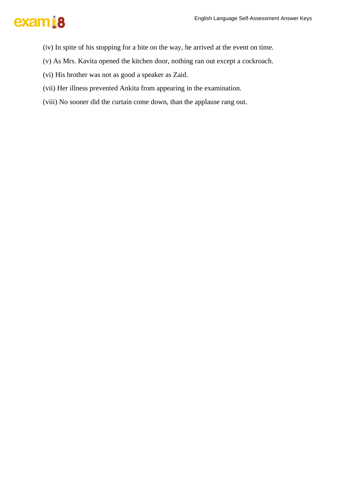- (iv) In spite of his stopping for a bite on the way, he arrived at the event on time.
- (v) As Mrs. Kavita opened the kitchen door, nothing ran out except a cockroach.
- (vi) His brother was not as good a speaker as Zaid.
- (vii) Her illness prevented Ankita from appearing in the examination.
- (viii) No sooner did the curtain come down, than the applause rang out.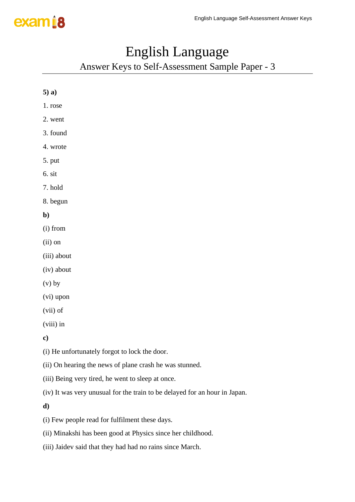## English Language

Answer Keys to Self-Assessment Sample Paper - 3

| $5)$ a)                                                 |
|---------------------------------------------------------|
| 1. rose                                                 |
| 2. went                                                 |
| 3. found                                                |
| 4. wrote                                                |
| 5. put                                                  |
| 6. sit                                                  |
| 7. hold                                                 |
| 8. begun                                                |
| $\mathbf{b}$                                            |
| (i) from                                                |
| $(ii)$ on                                               |
| (iii) about                                             |
| (iv) about                                              |
| $(v)$ by                                                |
| (vi) upon                                               |
| (vii) of                                                |
| (viii) in                                               |
| $\bf c)$                                                |
| (i) He unfortunately forgot to lock the door.           |
| (ii) On hearing the news of plane crash he was stunned. |

- (iii) Being very tired, he went to sleep at once.
- (iv) It was very unusual for the train to be delayed for an hour in Japan.

**d)** 

- (i) Few people read for fulfilment these days.
- (ii) Minakshi has been good at Physics since her childhood.
- (iii) Jaidev said that they had had no rains since March.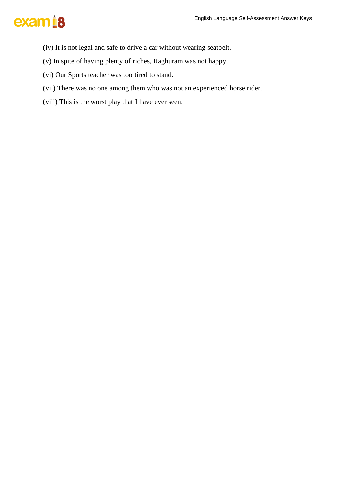- (iv) It is not legal and safe to drive a car without wearing seatbelt.
- (v) In spite of having plenty of riches, Raghuram was not happy.
- (vi) Our Sports teacher was too tired to stand.
- (vii) There was no one among them who was not an experienced horse rider.
- (viii) This is the worst play that I have ever seen.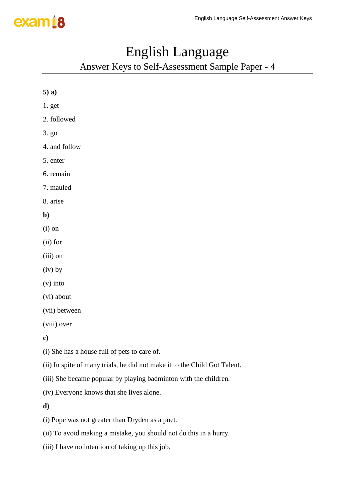#### English Language

Answer Keys to Self-Assessment Sample Paper - 4

| $5)$ a)                                                                   |
|---------------------------------------------------------------------------|
| 1. get                                                                    |
| 2. followed                                                               |
| 3. g <sub>0</sub>                                                         |
| 4. and follow                                                             |
| 5. enter                                                                  |
| 6. remain                                                                 |
| 7. mauled                                                                 |
| 8. arise                                                                  |
| $\mathbf{b}$                                                              |
| $(i)$ on                                                                  |
| $(ii)$ for                                                                |
| (iii) on                                                                  |
| $(iv)$ by                                                                 |
| $(v)$ into                                                                |
| (vi) about                                                                |
| (vii) between                                                             |
| (viii) over                                                               |
| $\mathbf{c})$                                                             |
| (i) She has a house full of pets to care of.                              |
| (ii) In spite of many trials, he did not make it to the Child Got Talent. |
| (iii) She became popular by playing badminton with the children.          |
| (iv) Everyone knows that she lives alone.                                 |
| d)                                                                        |

(i) Pope was not greater than Dryden as a poet.

(ii) To avoid making a mistake, you should not do this in a hurry.

(iii) I have no intention of taking up this job.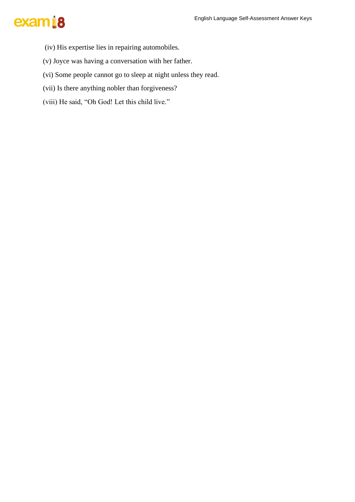- (iv) His expertise lies in repairing automobiles.
- (v) Joyce was having a conversation with her father.
- (vi) Some people cannot go to sleep at night unless they read.
- (vii) Is there anything nobler than forgiveness?
- (viii) He said, "Oh God! Let this child live."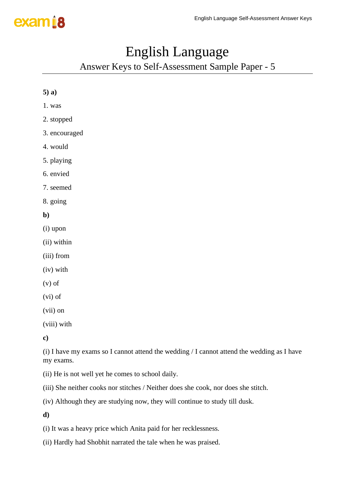### English Language

Answer Keys to Self-Assessment Sample Paper - 5

| $5)$ a)       |
|---------------|
| 1. was        |
| 2. stopped    |
| 3. encouraged |
| 4. would      |
| 5. playing    |
| 6. envied     |
| 7. seemed     |
| 8. going      |
| b)            |
|               |
| (i) upon      |
| (ii) within   |
| (iii) from    |
| (iv) with     |
| $(v)$ of      |
| (vi) of       |
| (vii) on      |

**c)**

(i) I have my exams so I cannot attend the wedding / I cannot attend the wedding as I have my exams.

(ii) He is not well yet he comes to school daily.

(iii) She neither cooks nor stitches / Neither does she cook, nor does she stitch.

(iv) Although they are studying now, they will continue to study till dusk.

**d)**

(i) It was a heavy price which Anita paid for her recklessness.

(ii) Hardly had Shobhit narrated the tale when he was praised.